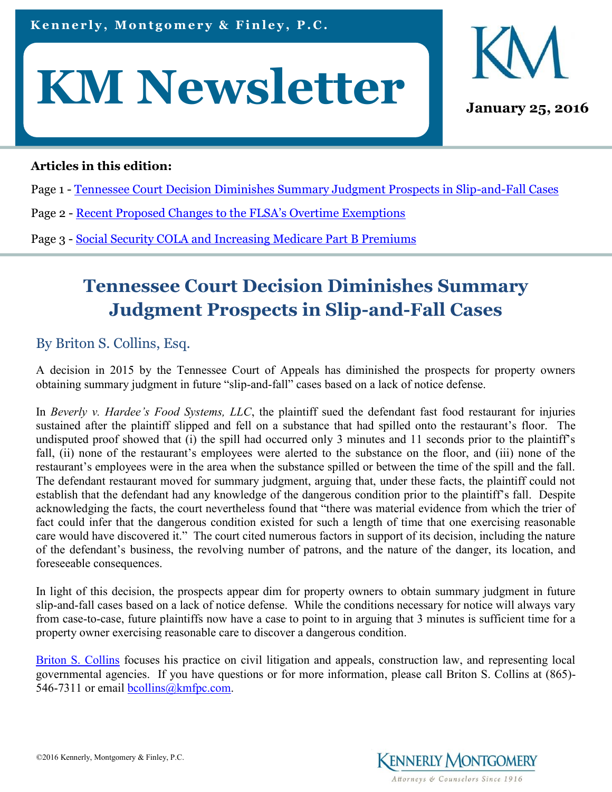



### **Articles in this edition:**

- Page 1 Tennessee Court Decision Diminishes Summary Judgment Prospects in Slip-and-Fall Cases
- Page 2 Recent [Proposed Changes to the FLSA's Overtime Exemptions](#page-1-0)
- Page 3 [Social Security COLA and Increasing Medicare Part B Premiums](#page-2-0)

# **Tennessee Court Decision Diminishes Summary Judgment Prospects in Slip-and-Fall Cases**

### By Briton S. Collins, Esq.

A decision in 2015 by the Tennessee Court of Appeals has diminished the prospects for property owners obtaining summary judgment in future "slip-and-fall" cases based on a lack of notice defense.

In *Beverly v. Hardee's Food Systems, LLC*, the plaintiff sued the defendant fast food restaurant for injuries sustained after the plaintiff slipped and fell on a substance that had spilled onto the restaurant's floor. The undisputed proof showed that (i) the spill had occurred only 3 minutes and 11 seconds prior to the plaintiff's fall, (ii) none of the restaurant's employees were alerted to the substance on the floor, and (iii) none of the restaurant's employees were in the area when the substance spilled or between the time of the spill and the fall. The defendant restaurant moved for summary judgment, arguing that, under these facts, the plaintiff could not establish that the defendant had any knowledge of the dangerous condition prior to the plaintiff's fall. Despite acknowledging the facts, the court nevertheless found that "there was material evidence from which the trier of fact could infer that the dangerous condition existed for such a length of time that one exercising reasonable care would have discovered it." The court cited numerous factors in support of its decision, including the nature of the defendant's business, the revolving number of patrons, and the nature of the danger, its location, and foreseeable consequences.

In light of this decision, the prospects appear dim for property owners to obtain summary judgment in future slip-and-fall cases based on a lack of notice defense. While the conditions necessary for notice will always vary from case-to-case, future plaintiffs now have a case to point to in arguing that 3 minutes is sufficient time for a property owner exercising reasonable care to discover a dangerous condition.

[Briton S. Collins](http://www.kmfpc.com/attorneys/briton_s_collins.aspx) focuses his practice on civil litigation and appeals, construction law, and representing local governmental agencies. If you have questions or for more information, please call Briton S. Collins at (865) 546-7311 or email [bcollins@kmfpc.com.](mailto:bcollins@kmfpc.com)

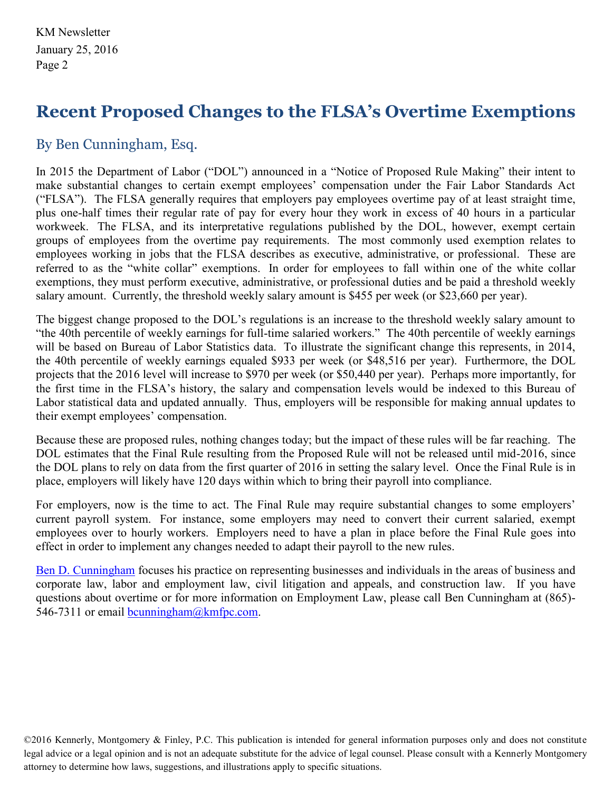# <span id="page-1-0"></span>**Recent Proposed Changes to the FLSA's Overtime Exemptions**

## By Ben Cunningham, Esq.

In 2015 the Department of Labor ("DOL") announced in a "Notice of Proposed Rule Making" their intent to make substantial changes to certain exempt employees' compensation under the Fair Labor Standards Act ("FLSA"). The FLSA generally requires that employers pay employees overtime pay of at least straight time, plus one-half times their regular rate of pay for every hour they work in excess of 40 hours in a particular workweek. The FLSA, and its interpretative regulations published by the DOL, however, exempt certain groups of employees from the overtime pay requirements. The most commonly used exemption relates to employees working in jobs that the FLSA describes as executive, administrative, or professional. These are referred to as the "white collar" exemptions. In order for employees to fall within one of the white collar exemptions, they must perform executive, administrative, or professional duties and be paid a threshold weekly salary amount. Currently, the threshold weekly salary amount is \$455 per week (or \$23,660 per year).

The biggest change proposed to the DOL's regulations is an increase to the threshold weekly salary amount to "the 40th percentile of weekly earnings for full-time salaried workers." The 40th percentile of weekly earnings will be based on Bureau of Labor Statistics data. To illustrate the significant change this represents, in 2014, the 40th percentile of weekly earnings equaled \$933 per week (or \$48,516 per year). Furthermore, the DOL projects that the 2016 level will increase to \$970 per week (or \$50,440 per year). Perhaps more importantly, for the first time in the FLSA's history, the salary and compensation levels would be indexed to this Bureau of Labor statistical data and updated annually. Thus, employers will be responsible for making annual updates to their exempt employees' compensation.

Because these are proposed rules, nothing changes today; but the impact of these rules will be far reaching. The DOL estimates that the Final Rule resulting from the Proposed Rule will not be released until mid-2016, since the DOL plans to rely on data from the first quarter of 2016 in setting the salary level. Once the Final Rule is in place, employers will likely have 120 days within which to bring their payroll into compliance.

For employers, now is the time to act. The Final Rule may require substantial changes to some employers' current payroll system. For instance, some employers may need to convert their current salaried, exempt employees over to hourly workers. Employers need to have a plan in place before the Final Rule goes into effect in order to implement any changes needed to adapt their payroll to the new rules.

[Ben D. Cunningham](http://www.kmfpc.com/attorneys/ben_d_cunningham.aspx) focuses his practice on representing businesses and individuals in the areas of business and corporate law, labor and employment law, civil litigation and appeals, and construction law. If you have questions about overtime or for more information on Employment Law, please call Ben Cunningham at (865) 546-7311 or email [bcunningham@kmfpc.com.](mailto:bcunningham@kmfpc.com)

©2016 Kennerly, Montgomery & Finley, P.C. This publication is intended for general information purposes only and does not constitute legal advice or a legal opinion and is not an adequate substitute for the advice of legal counsel. Please consult with a Kennerly Montgomery attorney to determine how laws, suggestions, and illustrations apply to specific situations.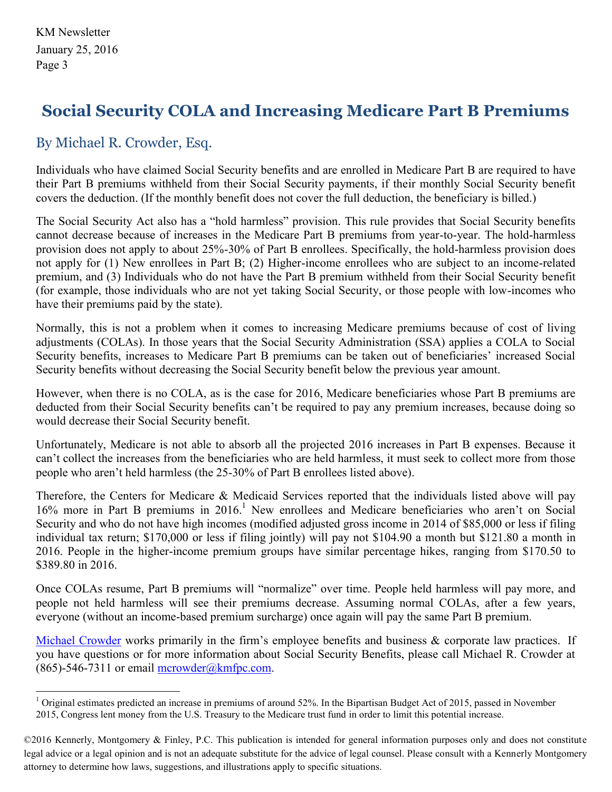# <span id="page-2-0"></span>**Social Security COLA and Increasing Medicare Part B Premiums**

### By Michael R. Crowder, Esq.

Individuals who have claimed Social Security benefits and are enrolled in Medicare Part B are required to have their Part B premiums withheld from their Social Security payments, if their monthly Social Security benefit covers the deduction. (If the monthly benefit does not cover the full deduction, the beneficiary is billed.)

The Social Security Act also has a "hold harmless" provision. This rule provides that Social Security benefits cannot decrease because of increases in the Medicare Part B premiums from year-to-year. The hold-harmless provision does not apply to about 25%-30% of Part B enrollees. Specifically, the hold-harmless provision does not apply for (1) New enrollees in Part B; (2) Higher-income enrollees who are subject to an income-related premium, and (3) Individuals who do not have the Part B premium withheld from their Social Security benefit (for example, those individuals who are not yet taking Social Security, or those people with low-incomes who have their premiums paid by the state).

Normally, this is not a problem when it comes to increasing Medicare premiums because of cost of living adjustments (COLAs). In those years that the Social Security Administration (SSA) applies a COLA to Social Security benefits, increases to Medicare Part B premiums can be taken out of beneficiaries' increased Social Security benefits without decreasing the Social Security benefit below the previous year amount.

However, when there is no COLA, as is the case for 2016, Medicare beneficiaries whose Part B premiums are deducted from their Social Security benefits can't be required to pay any premium increases, because doing so would decrease their Social Security benefit.

Unfortunately, Medicare is not able to absorb all the projected 2016 increases in Part B expenses. Because it can't collect the increases from the beneficiaries who are held harmless, it must seek to collect more from those people who aren't held harmless (the 25-30% of Part B enrollees listed above).

Therefore, the Centers for Medicare & Medicaid Services reported that the individuals listed above will pay 16% more in Part B premiums in 2016.<sup>1</sup> New enrollees and Medicare beneficiaries who aren't on Social Security and who do not have high incomes (modified adjusted gross income in 2014 of \$85,000 or less if filing individual tax return; \$170,000 or less if filing jointly) will pay not \$104.90 a month but \$121.80 a month in 2016. People in the higher-income premium groups have similar percentage hikes, ranging from \$170.50 to \$389.80 in 2016.

Once COLAs resume, Part B premiums will "normalize" over time. People held harmless will pay more, and people not held harmless will see their premiums decrease. Assuming normal COLAs, after a few years, everyone (without an income-based premium surcharge) once again will pay the same Part B premium.

[Michael Crowder](http://www.kmfpc.com/attorneys/michael_r_crowder.aspx) works primarily in the firm's employee benefits and business & corporate law practices. If you have questions or for more information about Social Security Benefits, please call Michael R. Crowder at  $(865)$ -546-7311 or email [mcrowder@kmfpc.com.](mailto:mcrowder@kmfpc.com)

<sup>&</sup>lt;sup>1</sup> Original estimates predicted an increase in premiums of around 52%. In the Bipartisan Budget Act of 2015, passed in November 2015, Congress lent money from the U.S. Treasury to the Medicare trust fund in order to limit this potential increase.

<sup>©2016</sup> Kennerly, Montgomery & Finley, P.C. This publication is intended for general information purposes only and does not constitute legal advice or a legal opinion and is not an adequate substitute for the advice of legal counsel. Please consult with a Kennerly Montgomery attorney to determine how laws, suggestions, and illustrations apply to specific situations.